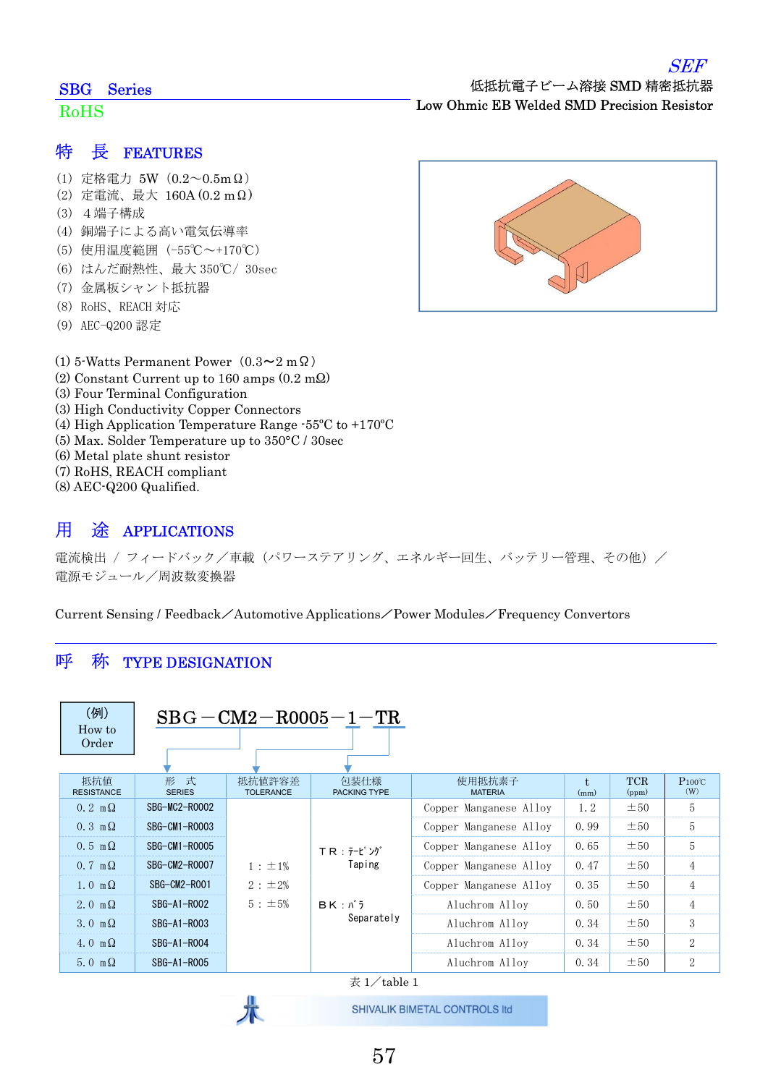#### SBG Series

#### RoHS

#### 特 長 FEATURES

- (1) 定格電力 5W(0.2~0.5mΩ)
- (2) 定電流、最大 160A (0.2 mΩ)
- (3) 4端子構成
- (4) 銅端子による高い電気伝導率
- (5) 使用温度範囲 (-55℃~+170℃)
- (6) はんだ耐熱性、最大 350℃/ 30sec
- (7) 金属板シャント抵抗器
- (8) RoHS、REACH 対応
- (9) AEC-Q200 認定
- (1) 5-Watts Permanent Power (0.3~2 m $\Omega$ )
- (2) Constant Current up to 160 amps (0.2 mΩ)
- (3) Four Terminal Configuration
- (3) High Conductivity Copper Connectors
- (4) High Application Temperature Range -55ºC to +170ºC
- (5) Max. Solder Temperature up to 350°C / 30sec
- (6) Metal plate shunt resistor
- (7) RoHS, REACH compliant
- (8) AEC-Q200 Qualified.

### 用 途 APPLICATIONS

電流検出 / フィードバック/車載 (パワーステアリング、エネルギー回生、バッテリー管理、その他) / 電源モジュール/周波数変換器

Current Sensing / Feedback/Automotive Applications/Power Modules/Frequency Convertors

### 呼 称 TYPE DESIGNATION

| (例)<br>$BBG - CM2 - R0005 - 1 - TR$<br>How to<br>Order |                      |                            |                                              |                          |            |                     |                     |
|--------------------------------------------------------|----------------------|----------------------------|----------------------------------------------|--------------------------|------------|---------------------|---------------------|
| 抵抗值<br><b>RESISTANCE</b>                               | 形 式<br><b>SERIES</b> | 抵抗値許容差<br><b>TOLERANCE</b> | 包装仕様<br><b>PACKING TYPE</b>                  | 使用抵抗素子<br><b>MATERIA</b> | t.<br>(mm) | <b>TCR</b><br>(ppm) | $P_{100}$ °C<br>(W) |
| $0.2 \text{ m}\Omega$                                  | SBG-MC2-R0002        |                            | T R : テーピング<br>Taping<br>BK: N<br>Separately | Copper Manganese Alloy   | 1.2        | ±50                 | 5                   |
| $0.3 \text{ m}\Omega$                                  | SBG-CM1-R0003        |                            |                                              | Copper Manganese Alloy   | 0.99       | $\pm 50$            | 5                   |
| $0.5 \text{ m}\Omega$                                  | SBG-CM1-R0005        |                            |                                              | Copper Manganese Alloy   | 0.65       | $\pm 50$            | 5                   |
| $0.7 \text{ m}\Omega$                                  | SBG-CM2-R0007        | $1 : \pm 1\%$              |                                              | Copper Manganese Alloy   | 0.47       | $\pm 50$            | $\overline{4}$      |
| $1.0 \text{ m}\Omega$                                  | SBG-CM2-ROO1         | 2 : ±2%                    |                                              | Copper Manganese Alloy   | 0.35       | $\pm 50$            | $\overline{4}$      |
| 2.0 m $\Omega$                                         | SBG-A1-R002          | $5: \pm 5\%$               |                                              | Aluchrom Alloy           | 0.50       | ±50                 | $\overline{4}$      |
| 3. $0 \text{ m } \Omega$                               | SBG-A1-R003          |                            |                                              | Aluchrom Alloy           | 0.34       | $\pm 50$            | 3                   |
| 4.0 m $\Omega$                                         | SBG-A1-R004          |                            |                                              | Aluchrom Alloy           | 0.34       | $\pm 50$            | $\mathbf{2}$        |
| 5.0 m $\Omega$                                         | SBG-A1-R005          |                            | — <i>- /</i> 11 -                            | Aluchrom Alloy           | 0.34       | $\pm 50$            | $\overline{2}$      |

表  $1/\tanh 1$ 

SHIVALIK BIMETAL CONTROLS Itd



57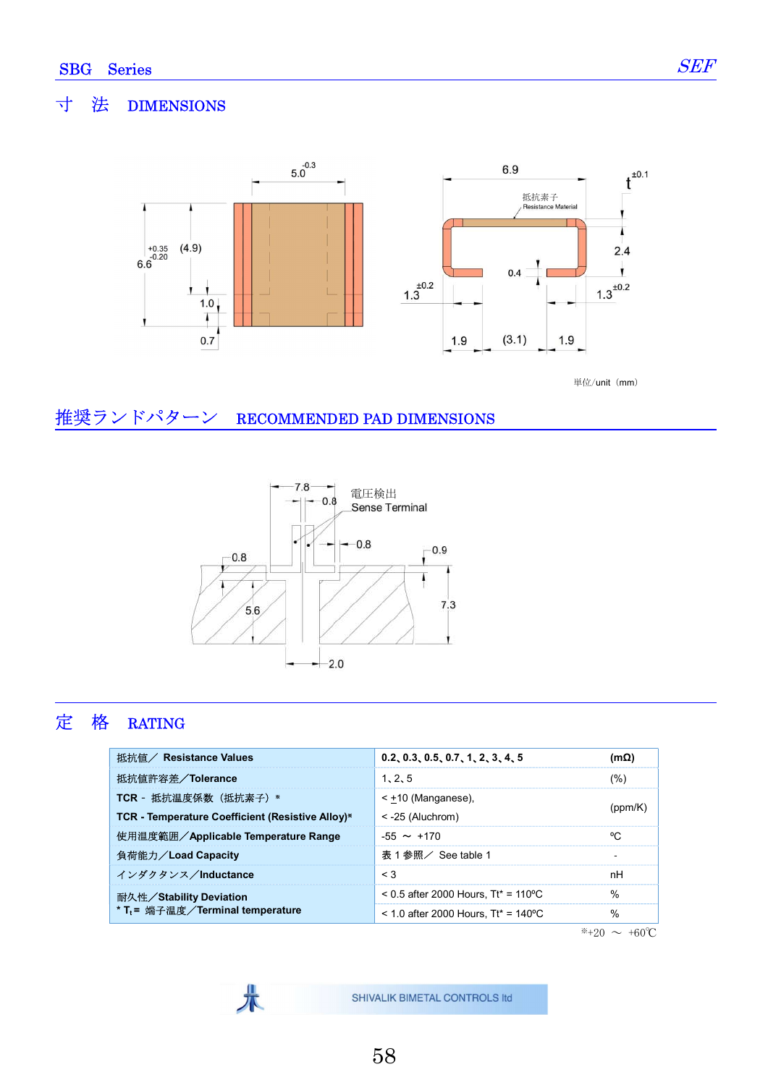٦

### 寸 法 DIMENSIONS



単位/unit $(mm)$ 

### 推奨ランドパターン RECOMMENDED PAD DIMENSIONS

朱



# 定 格 RATING

| 0.2, 0.3, 0.5, 0.7, 1, 2, 3, 4, 5      | (mΩ)    |
|----------------------------------------|---------|
| 1, 2, 5                                | (%)     |
| $\le$ +10 (Manganese).                 | (ppm/K) |
| $\le$ -25 (Aluchrom)                   |         |
| $-55 \sim +170$                        | °C      |
| 表 1 参照/ See table 1                    |         |
| $\leq$ 3                               | nH      |
| $0.5$ after 2000 Hours. Tt* = 110 °C   | $\%$    |
| $<$ 1.0 after 2000 Hours, Tt* = 140 °C | $\%$    |
|                                        |         |

 $*+20 \sim +60$ °C

SHIVALIK BIMETAL CONTROLS Itd